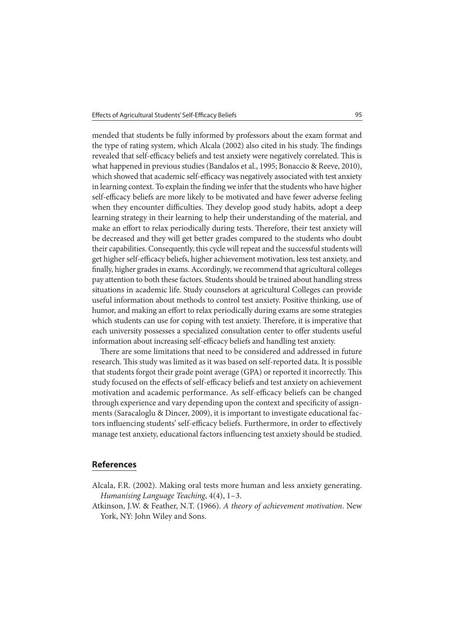mended that students be fully informed by professors about the exam format and the type of rating system, which Alcala (2002) also cited in his study. The findings revealed that self-efficacy beliefs and test anxiety were negatively correlated. This is what happened in previous studies (Bandalos et al., 1995; Bonaccio & Reeve, 2010), which showed that academic self-efficacy was negatively associated with test anxiety in learning context. To explain the finding we infer that the students who have higher self-efficacy beliefs are more likely to be motivated and have fewer adverse feeling when they encounter difficulties. They develop good study habits, adopt a deep learning strategy in their learning to help their understanding of the material, and make an effort to relax periodically during tests. Therefore, their test anxiety will be decreased and they will get better grades compared to the students who doubt their capabilities. Consequently, this cycle will repeat and the successful students will get higher self-efficacy beliefs, higher achievement motivation, less test anxiety, and finally, higher grades in exams. Accordingly, we recommend that agricultural colleges pay attention to both these factors. Students should be trained about handling stress situations in academic life. Study counselors at agricultural Colleges can provide useful information about methods to control test anxiety. Positive thinking, use of humor, and making an effort to relax periodically during exams are some strategies which students can use for coping with test anxiety. Therefore, it is imperative that each university possesses a specialized consultation center to offer students useful information about increasing self-efficacy beliefs and handling test anxiety.

There are some limitations that need to be considered and addressed in future research. This study was limited as it was based on self-reported data. It is possible that students forgot their grade point average (GPA) or reported it incorrectly. This study focused on the effects of self-efficacy beliefs and test anxiety on achievement motivation and academic performance. As self-efficacy beliefs can be changed through experience and vary depending upon the context and specificity of assignments (Saracaloglu & Dincer, 2009), it is important to investigate educational factors influencing students' self-efficacy beliefs. Furthermore, in order to effectively manage test anxiety, educational factors influencing test anxiety should be studied.

## **References**

- Alcala, F.R. (2002). Making oral tests more human and less anxiety generating. Humanising Language Teaching, 4(4), 1-3.
- Atkinson, J.W. & Feather, N.T. (1966). A theory of achievement motivation. New York, NY: John Wiley and Sons.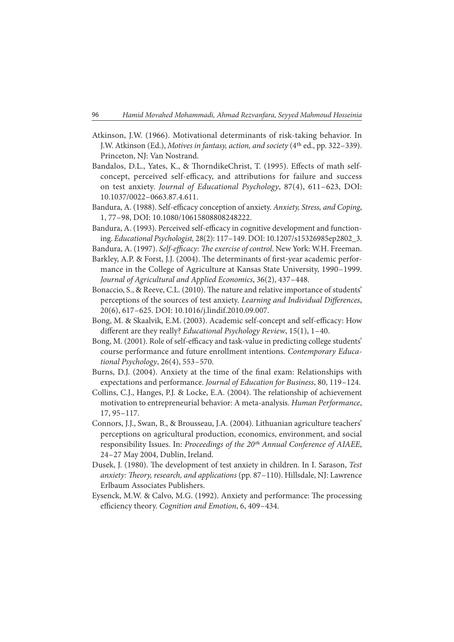- Atkinson, J.W. (1966). Motivational determinants of risk-taking behavior. In J.W. Atkinson (Ed.), Motives in fantasy, action, and society (4<sup>th</sup> ed., pp. 322-339). Princeton, NJ: Van Nostrand.
- Bandalos, D.L., Yates, K., & ThorndikeChrist, T. (1995). Effects of math selfconcept, perceived self-efficacy, and attributions for failure and success on test anxiety. Journal of Educational Psychology, 87(4), 611-623, DOI: 10.1037/0022 – 0663.87.4.611.
- Bandura, A. (1988). Self-efficacy conception of anxiety. Anxiety, Stress, and Coping, 1, 77 – 98, DOI: 10.1080/10615808808248222.
- Bandura, A. (1993). Perceived self-efficacy in cognitive development and functioning. Educational Psychologist, 28(2): 117 – 149. DOI: 10.1207/s15326985ep2802\_3.
- Bandura, A. (1997). Self-efficacy: The exercise of control. New York: W.H. Freeman. Barkley, A.P. & Forst, J.J. (2004). The determinants of first-year academic performance in the College of Agriculture at Kansas State University, 1990–1999. Journal of Agricultural and Applied Economics, 36(2), 437 – 448.
- Bonaccio, S., & Reeve, C.L. (2010). The nature and relative importance of students' perceptions of the sources of test anxiety. Learning and Individual Differences, 20(6), 617 – 625. DOI: 10.1016/j.lindif.2010.09.007.
- Bong, M. & Skaalvik, E.M. (2003). Academic self-concept and self-efficacy: How different are they really? Educational Psychology Review,  $15(1)$ ,  $1-40$ .
- Bong, M. (2001). Role of self-efficacy and task-value in predicting college students' course performance and future enrollment intentions. Contemporary Educational Psychology, 26(4), 553 – 570.
- Burns, D.J. (2004). Anxiety at the time of the final exam: Relationships with expectations and performance. Journal of Education for Business, 80, 119 – 124.
- Collins, C.J., Hanges, P.J. & Locke, E.A. (2004). The relationship of achievement motivation to entrepreneurial behavior: A meta-analysis. Human Performance, 17, 95 – 117.
- Connors, J.J., Swan, B., & Brousseau, J.A. (2004). Lithuanian agriculture teachers' perceptions on agricultural production, economics, environment, and social responsibility Issues. In: Proceedings of the 20<sup>th</sup> Annual Conference of AIAEE, 24 – 27 May 2004, Dublin, Ireland.
- Dusek, J. (1980). The development of test anxiety in children. In I. Sarason, Test anxiety: Theory, research, and applications (pp. 87-110). Hillsdale, NJ: Lawrence Erlbaum Associates Publishers.
- Eysenck, M.W. & Calvo, M.G. (1992). Anxiety and performance: The processing efficiency theory. Cognition and Emotion, 6, 409-434.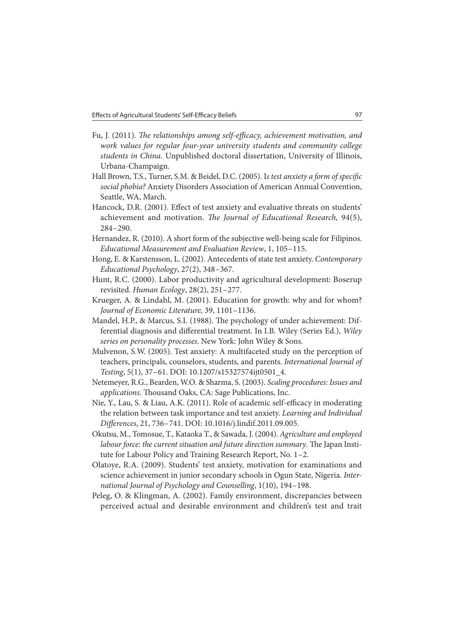- Fu, J. (2011). The relationships among self-efficacy, achievement motivation, and work values for regular four-year university students and community college students in China. Unpublished doctoral dissertation, University of Illinois, Urbana-Champaign.
- Hall Brown, T.S., Turner, S.M. & Beidel, D.C. (2005). Is test anxiety a form of specific social phobia? Anxiety Disorders Association of American Annual Convention, Seattle, WA, March.
- Hancock, D.R. (2001). Effect of test anxiety and evaluative threats on students' achievement and motivation. The Journal of Educational Research, 94(5), 284 – 290.
- Hernandez, R. (2010). A short form of the subjective well-being scale for Filipinos. Educational Measurement and Evaluation Review, 1, 105 – 115.
- Hong, E. & Karstensson, L. (2002). Antecedents of state test anxiety. Contemporary Educational Psychology, 27(2), 348 – 367.
- Hunt, R.C. (2000). Labor productivity and agricultural development: Boserup revisited. Human Ecology, 28(2), 251 – 277.
- Krueger, A. & Lindahl, M. (2001). Education for growth: why and for whom? Journal of Economic Literature, 39, 1101 – 1136.
- Mandel, H.P., & Marcus, S.I. (1988). The psychology of under achievement: Differential diagnosis and differential treatment. In I.B. Wiley (Series Ed.), Wiley series on personality processes. New York: John Wiley & Sons.
- Mulvenon, S.W. (2005). Test anxiety: A multifaceted study on the perception of teachers, principals, counselors, students, and parents. International Journal of Testing, 5(1), 37-61. DOI: 10.1207/s15327574ijt0501\_4.
- Netemeyer, R.G., Bearden, W.O. & Sharma, S. (2003). Scaling procedures: Issues and applications. Thousand Oaks, CA: Sage Publications, Inc.
- Nie, Y., Lau, S. & Liau, A.K. (2011). Role of academic self-efficacy in moderating the relation between task importance and test anxiety. Learning and Individual Differences, 21, 736-741. DOI: 10.1016/j.lindif.2011.09.005.
- Okutsu, M., Tomosue, T., Kataoka T., & Sawada, J. (2004). Agriculture and employed labour force: the current situation and future direction summary. The Japan Institute for Labour Policy and Training Research Report, No. 1-2.
- Olatoye, R.A. (2009). Students' test anxiety, motivation for examinations and science achievement in junior secondary schools in Ogun State, Nigeria. International Journal of Psychology and Counselling, 1(10), 194 – 198.
- Peleg, O. & Klingman, A. (2002). Family environment, discrepancies between perceived actual and desirable environment and children's test and trait